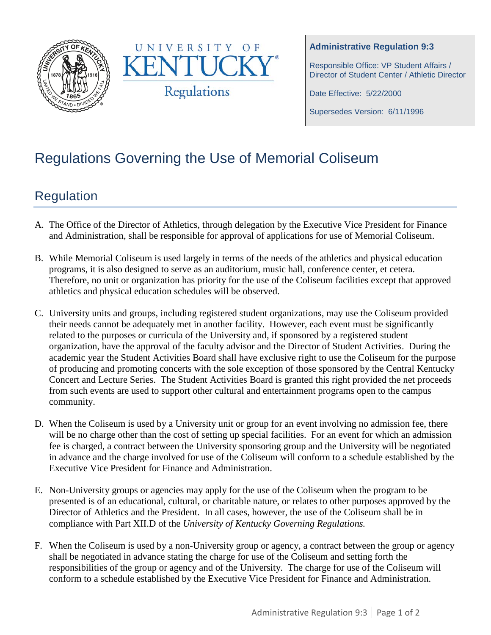



#### **Administrative Regulation 9:3**

Responsible Office: VP Student Affairs / Director of Student Center / Athletic Director

Date Effective: 5/22/2000

Supersedes Version: 6/11/1996

# Regulations Governing the Use of Memorial Coliseum

## Regulation

- A. The Office of the Director of Athletics, through delegation by the Executive Vice President for Finance and Administration, shall be responsible for approval of applications for use of Memorial Coliseum.
- B. While Memorial Coliseum is used largely in terms of the needs of the athletics and physical education programs, it is also designed to serve as an auditorium, music hall, conference center, et cetera. Therefore, no unit or organization has priority for the use of the Coliseum facilities except that approved athletics and physical education schedules will be observed.
- C. University units and groups, including registered student organizations, may use the Coliseum provided their needs cannot be adequately met in another facility. However, each event must be significantly related to the purposes or curricula of the University and, if sponsored by a registered student organization, have the approval of the faculty advisor and the Director of Student Activities. During the academic year the Student Activities Board shall have exclusive right to use the Coliseum for the purpose of producing and promoting concerts with the sole exception of those sponsored by the Central Kentucky Concert and Lecture Series. The Student Activities Board is granted this right provided the net proceeds from such events are used to support other cultural and entertainment programs open to the campus community.
- D. When the Coliseum is used by a University unit or group for an event involving no admission fee, there will be no charge other than the cost of setting up special facilities. For an event for which an admission fee is charged, a contract between the University sponsoring group and the University will be negotiated in advance and the charge involved for use of the Coliseum will conform to a schedule established by the Executive Vice President for Finance and Administration.
- E. Non-University groups or agencies may apply for the use of the Coliseum when the program to be presented is of an educational, cultural, or charitable nature, or relates to other purposes approved by the Director of Athletics and the President. In all cases, however, the use of the Coliseum shall be in compliance with Part XII.D of the *University of Kentucky Governing Regulations.*
- F. When the Coliseum is used by a non-University group or agency, a contract between the group or agency shall be negotiated in advance stating the charge for use of the Coliseum and setting forth the responsibilities of the group or agency and of the University. The charge for use of the Coliseum will conform to a schedule established by the Executive Vice President for Finance and Administration.